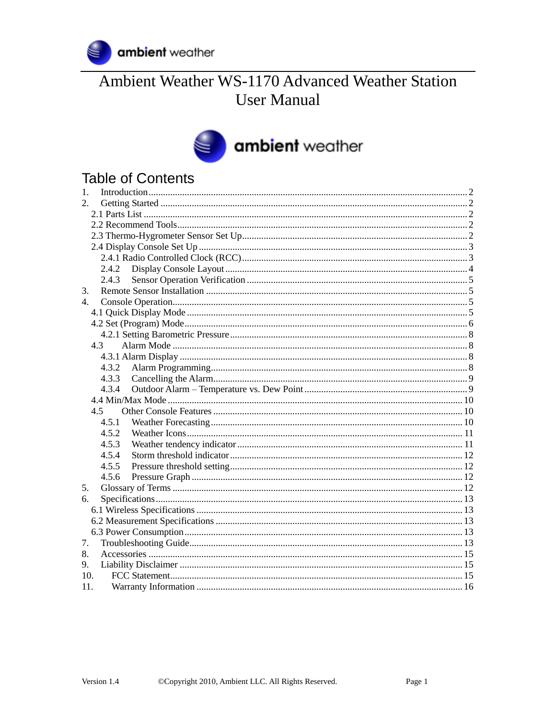

# Ambient Weather WS-1170 Advanced Weather Station **User Manual**

# ambient weather

# **Table of Contents**

| 1.          |  |
|-------------|--|
| 2.          |  |
|             |  |
|             |  |
|             |  |
|             |  |
|             |  |
| 2.4.2       |  |
| 2.4.3       |  |
| 3.          |  |
| $4_{\cdot}$ |  |
|             |  |
|             |  |
|             |  |
| 4.3         |  |
|             |  |
| 4.3.2       |  |
| 4.3.3       |  |
| 4.3.4       |  |
|             |  |
| 4.5         |  |
| 4.5.1       |  |
| 4.5.2       |  |
| 4.5.3       |  |
| 4.5.4       |  |
| 4.5.5       |  |
| 4.5.6       |  |
| 5.          |  |
| 6.          |  |
|             |  |
|             |  |
|             |  |
| 7.          |  |
| 8.          |  |
| 9.          |  |
| 10.         |  |
| 11.         |  |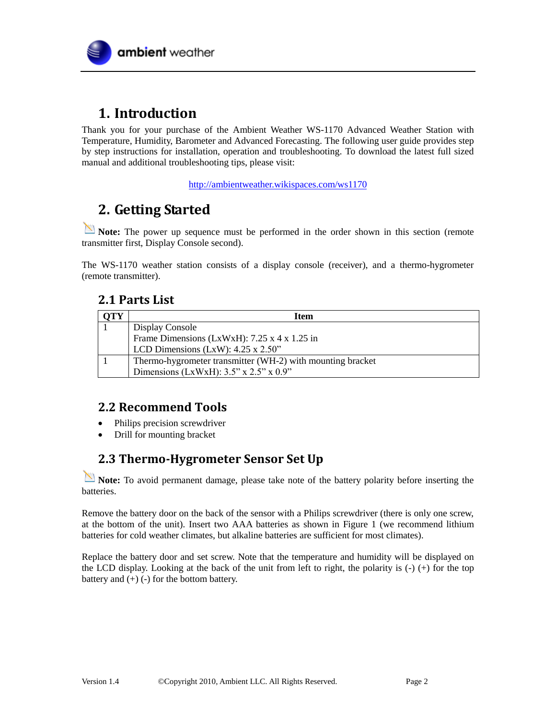

# <span id="page-1-0"></span>**1. Introduction**

Thank you for your purchase of the Ambient Weather WS-1170 Advanced Weather Station with Temperature, Humidity, Barometer and Advanced Forecasting. The following user guide provides step by step instructions for installation, operation and troubleshooting. To download the latest full sized manual and additional troubleshooting tips, please visit:

<http://ambientweather.wikispaces.com/ws1170>

# <span id="page-1-1"></span>**2. Getting Started**

**Note:** The power up sequence must be performed in the order shown in this section (remote transmitter first, Display Console second).

<span id="page-1-2"></span>The WS-1170 weather station consists of a display console (receiver), and a thermo-hygrometer (remote transmitter).

## **2.1 Parts List**

| OTY | <b>Item</b>                                                |  |
|-----|------------------------------------------------------------|--|
|     | Display Console                                            |  |
|     | Frame Dimensions (LxWxH): $7.25 \times 4 \times 1.25$ in   |  |
|     | LCD Dimensions (LxW): $4.25 \times 2.50$ "                 |  |
|     | Thermo-hygrometer transmitter (WH-2) with mounting bracket |  |
|     | Dimensions (LxWxH): $3.5$ " x $2.5$ " x $0.9$ "            |  |

## <span id="page-1-3"></span>**2.2 Recommend Tools**

- Philips precision screwdriver
- Drill for mounting bracket

## <span id="page-1-4"></span>**2.3 Thermo-Hygrometer Sensor Set Up**

**Note:** To avoid permanent damage, please take note of the battery polarity before inserting the batteries.

Remove the battery door on the back of the sensor with a Philips screwdriver (there is only one screw, at the bottom of the unit). Insert two AAA batteries as shown in [Figure 1](#page-2-2) (we recommend lithium batteries for cold weather climates, but alkaline batteries are sufficient for most climates).

Replace the battery door and set screw. Note that the temperature and humidity will be displayed on the LCD display. Looking at the back of the unit from left to right, the polarity is  $(-)$   $(+)$  for the top battery and  $(+)$  (-) for the bottom battery.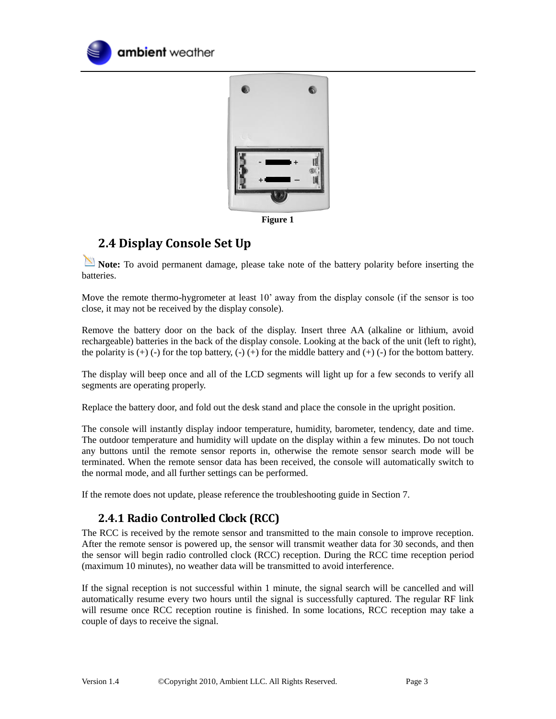



**Figure 1**

## <span id="page-2-2"></span><span id="page-2-0"></span>**2.4 Display Console Set Up**

**Note:** To avoid permanent damage, please take note of the battery polarity before inserting the batteries.

Move the remote thermo-hygrometer at least 10' away from the display console (if the sensor is too close, it may not be received by the display console).

Remove the battery door on the back of the display. Insert three AA (alkaline or lithium, avoid rechargeable) batteries in the back of the display console. Looking at the back of the unit (left to right), the polarity is  $(+)$  (-) for the top battery,  $(-)$  (+) for the middle battery and  $(+)$  (-) for the bottom battery.

The display will beep once and all of the LCD segments will light up for a few seconds to verify all segments are operating properly.

Replace the battery door, and fold out the desk stand and place the console in the upright position.

The console will instantly display indoor temperature, humidity, barometer, tendency, date and time. The outdoor temperature and humidity will update on the display within a few minutes. Do not touch any buttons until the remote sensor reports in, otherwise the remote sensor search mode will be terminated. When the remote sensor data has been received, the console will automatically switch to the normal mode, and all further settings can be performed.

<span id="page-2-1"></span>If the remote does not update, please reference the troubleshooting guide in Section [7.](#page-12-4)

## **2.4.1 Radio Controlled Clock (RCC)**

The RCC is received by the remote sensor and transmitted to the main console to improve reception. After the remote sensor is powered up, the sensor will transmit weather data for 30 seconds, and then the sensor will begin radio controlled clock (RCC) reception. During the RCC time reception period (maximum 10 minutes), no weather data will be transmitted to avoid interference.

If the signal reception is not successful within 1 minute, the signal search will be cancelled and will automatically resume every two hours until the signal is successfully captured. The regular RF link will resume once RCC reception routine is finished. In some locations, RCC reception may take a couple of days to receive the signal.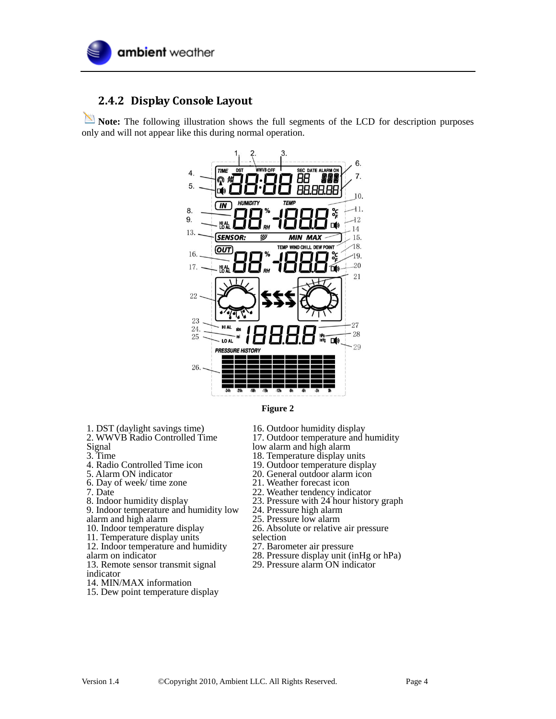

#### <span id="page-3-0"></span>**2.4.2 Display Console Layout**

Note: The following illustration shows the full segments of the LCD for description purposes only and will not appear like this during normal operation.





- 1. DST (daylight savings time)
- 2. WWVB Radio Controlled Time
- Signal
- 3. Time
- 4. Radio Controlled Time icon
- 5. Alarm ON indicator
- 6. Day of week/ time zone
- 7. Date
- 8. Indoor humidity display 9. Indoor temperature and humidity low alarm and high alarm
- 10. Indoor temperature display
- 11. Temperature display units
- 12. Indoor temperature and humidity
- alarm on indicator
- 13. Remote sensor transmit signal
- indicator
- 14. MIN/MAX information
- 15. Dew point temperature display
- 16. Outdoor humidity display
- 17. Outdoor temperature and humidity
- low alarm and high alarm
- 18. Temperature display units
- 19. Outdoor temperature display
- 20. General outdoor alarm icon
- 21. Weather forecast icon
- 22. Weather tendency indicator
- 23. Pressure with 24 hour history graph
- 24. Pressure high alarm
- 25. Pressure low alarm
- 26. Absolute or relative air pressure
- selection
- 27. Barometer air pressure
- 28. Pressure display unit (inHg or hPa)
- 29. Pressure alarm ON indicator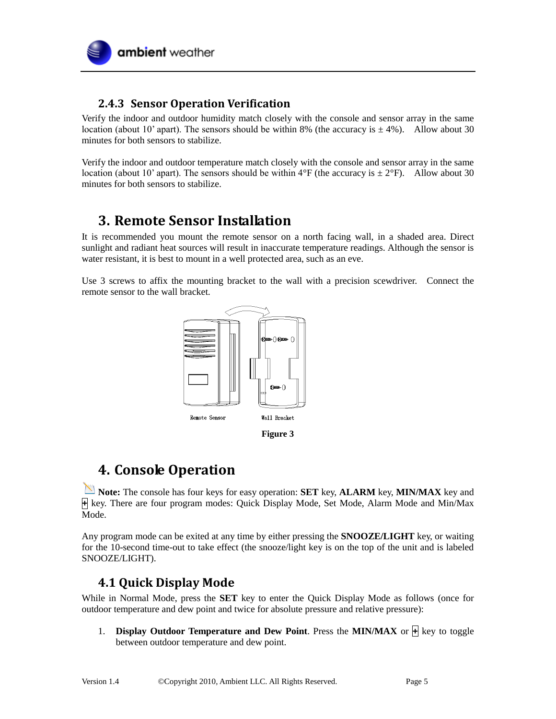

## <span id="page-4-0"></span>**2.4.3 Sensor Operation Verification**

Verify the indoor and outdoor humidity match closely with the console and sensor array in the same location (about 10' apart). The sensors should be within 8% (the accuracy is  $\pm$  4%). Allow about 30 minutes for both sensors to stabilize.

Verify the indoor and outdoor temperature match closely with the console and sensor array in the same location (about 10' apart). The sensors should be within  $4^{\circ}F$  (the accuracy is  $\pm 2^{\circ}F$ ). Allow about 30 minutes for both sensors to stabilize.

# <span id="page-4-1"></span>**3. Remote Sensor Installation**

It is recommended you mount the remote sensor on a north facing wall, in a shaded area. Direct sunlight and radiant heat sources will result in inaccurate temperature readings. Although the sensor is water resistant, it is best to mount in a well protected area, such as an eve.

Use 3 screws to affix the mounting bracket to the wall with a precision scewdriver. Connect the remote sensor to the wall bracket.



# <span id="page-4-2"></span>**4. Console Operation**

**Note:** The console has four keys for easy operation: **SET** key, **ALARM** key, **MIN/MAX** key and **+** key. There are four program modes: Quick Display Mode, Set Mode, Alarm Mode and Min/Max Mode.

Any program mode can be exited at any time by either pressing the **SNOOZE/LIGHT** key, or waiting for the 10-second time-out to take effect (the snooze/light key is on the top of the unit and is labeled SNOOZE/LIGHT).

## <span id="page-4-3"></span>**4.1 Quick Display Mode**

While in Normal Mode, press the **SET** key to enter the Quick Display Mode as follows (once for outdoor temperature and dew point and twice for absolute pressure and relative pressure):

1. **Display Outdoor Temperature and Dew Point**. Press the **MIN/MAX** or **+** key to toggle between outdoor temperature and dew point.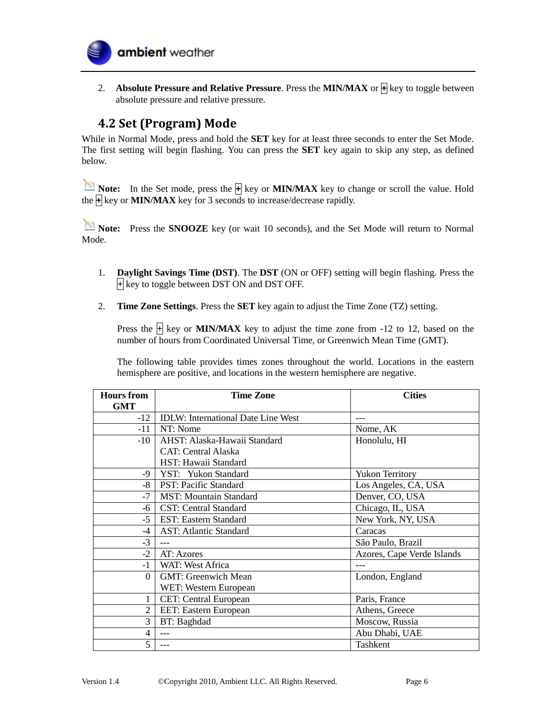

2. **Absolute Pressure and Relative Pressure**. Press the **MIN/MAX** or **+** key to toggle between absolute pressure and relative pressure.

## <span id="page-5-0"></span>**4.2 Set (Program) Mode**

While in Normal Mode, press and hold the **SET** key for at least three seconds to enter the Set Mode. The first setting will begin flashing. You can press the **SET** key again to skip any step, as defined below.

**Note:** In the Set mode, press the  $\frac{1}{2}$  key or **MIN/MAX** key to change or scroll the value. Hold the **+** key or **MIN/MAX** key for 3 seconds to increase/decrease rapidly.

**Note:** Press the **SNOOZE** key (or wait 10 seconds), and the Set Mode will return to Normal Mode.

- 1. **Daylight Savings Time (DST)**. The **DST** (ON or OFF) setting will begin flashing. Press the **+** key to toggle between DST ON and DST OFF.
- 2. **Time Zone Settings**. Press the **SET** key again to adjust the Time Zone (TZ) setting.

Press the  $\frac{1}{2}$  key or **MIN/MAX** key to adjust the time zone from -12 to 12, based on the number of hours from Coordinated Universal Time, or Greenwich Mean Time (GMT).

The following table provides times zones throughout the world. Locations in the eastern hemisphere are positive, and locations in the western hemisphere are negative.

| <b>Hours</b> from | <b>Time Zone</b>                          | <b>Cities</b>              |
|-------------------|-------------------------------------------|----------------------------|
| <b>GMT</b>        |                                           |                            |
| $-12$             | <b>IDLW:</b> International Date Line West |                            |
| $-11$             | NT: Nome                                  | Nome, AK                   |
| $-10$             | AHST: Alaska-Hawaii Standard              | Honolulu, HI               |
|                   | <b>CAT: Central Alaska</b>                |                            |
|                   | HST: Hawaii Standard                      |                            |
| $-9$              | YST: Yukon Standard                       | <b>Yukon Territory</b>     |
| -8                | PST: Pacific Standard                     | Los Angeles, CA, USA       |
| $-7$              | <b>MST: Mountain Standard</b>             | Denver, CO, USA            |
| -6                | <b>CST: Central Standard</b>              | Chicago, IL, USA           |
| $-5$              | <b>EST: Eastern Standard</b>              | New York, NY, USA          |
| -4                | <b>AST: Atlantic Standard</b>             | Caracas                    |
| $-3$              |                                           | São Paulo, Brazil          |
| $-2$              | AT: Azores                                | Azores, Cape Verde Islands |
| $-1$              | WAT: West Africa                          |                            |
| $\Omega$          | <b>GMT: Greenwich Mean</b>                | London, England            |
|                   | WET: Western European                     |                            |
|                   | <b>CET:</b> Central European              | Paris, France              |
| $\mathfrak{D}$    | EET: Eastern European                     | Athens, Greece             |
| 3                 | BT: Baghdad                               | Moscow, Russia             |
| 4                 | $---$                                     | Abu Dhabi, UAE             |
| 5                 | $---$                                     | Tashkent                   |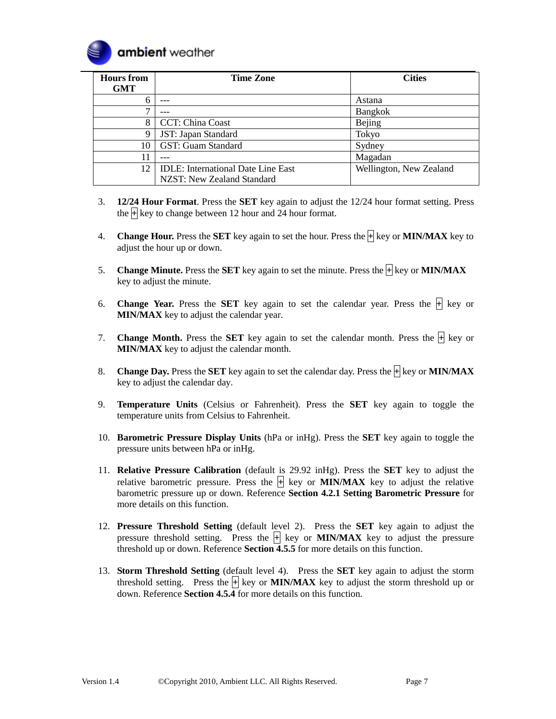

| <b>Hours</b> from<br><b>GMT</b> | <b>Time Zone</b>                          | <b>Cities</b>           |
|---------------------------------|-------------------------------------------|-------------------------|
| b                               |                                           | Astana                  |
| ⇁                               |                                           | Bangkok                 |
| 8                               | CCT: China Coast                          | <b>Bejing</b>           |
| Q                               | JST: Japan Standard                       | Tokyo                   |
| 10                              | GST: Guam Standard                        | Sydney                  |
| 11                              |                                           | Magadan                 |
| 12                              | <b>IDLE:</b> International Date Line East | Wellington, New Zealand |
|                                 | NZST: New Zealand Standard                |                         |

- 3. **12/24 Hour Format**. Press the **SET** key again to adjust the 12/24 hour format setting. Press the **+** key to change between 12 hour and 24 hour format.
- 4. **Change Hour.** Press the **SET** key again to set the hour. Press the **+** key or **MIN/MAX** key to adjust the hour up or down.
- 5. **Change Minute.** Press the **SET** key again to set the minute. Press the **+** key or **MIN/MAX** key to adjust the minute.
- 6. **Change Year.** Press the **SET** key again to set the calendar year. Press the  $\mathbb{H}$  key or **MIN/MAX** key to adjust the calendar year.
- 7. **Change Month.** Press the **SET** key again to set the calendar month. Press the  $\overline{+}$  key or **MIN/MAX** key to adjust the calendar month.
- 8. **Change Day.** Press the **SET** key again to set the calendar day. Press the  $\frac{1}{\sqrt{1}}$  key or **MIN/MAX** key to adjust the calendar day.
- 9. **Temperature Units** (Celsius or Fahrenheit). Press the **SET** key again to toggle the temperature units from Celsius to Fahrenheit.
- 10. **Barometric Pressure Display Units** (hPa or inHg). Press the **SET** key again to toggle the pressure units between hPa or inHg.
- 11. **Relative Pressure Calibration** (default is 29.92 inHg). Press the **SET** key to adjust the relative barometric pressure. Press the  $\frac{1}{2}$  key or **MIN/MAX** key to adjust the relative barometric pressure up or down. Reference **Section [4.2.1 Setting Barometric Pressure](#page-7-0)** for more details on this function.
- 12. **Pressure Threshold Setting** (default level 2). Press the **SET** key again to adjust the pressure threshold setting. Press the  $\overline{+}$  key or **MIN/MAX** key to adjust the pressure threshold up or down. Reference **Section [4.5.5](#page-11-1)** for more details on this function.
- 13. **Storm Threshold Setting** (default level 4). Press the **SET** key again to adjust the storm threshold setting. Press the  $\overline{+}$  key or **MIN/MAX** key to adjust the storm threshold up or down. Reference **Section [4.5.4](#page-11-0)** for more details on this function.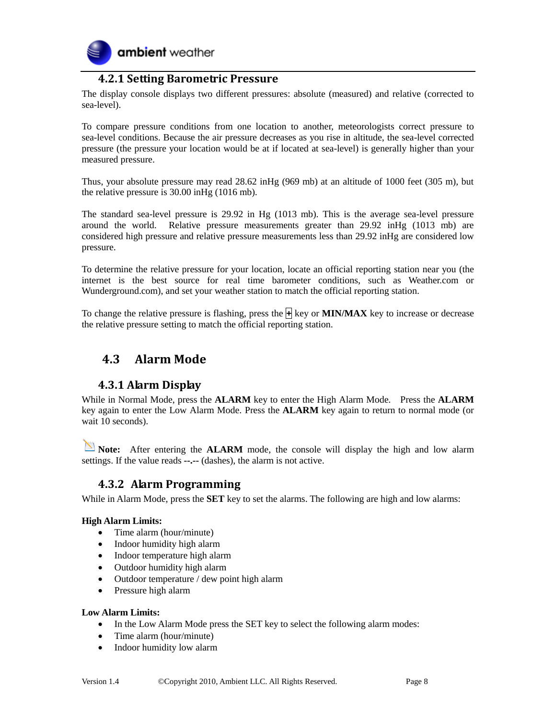

#### **4.2.1 Setting Barometric Pressure**

<span id="page-7-0"></span>The display console displays two different pressures: absolute (measured) and relative (corrected to sea-level).

To compare pressure conditions from one location to another, meteorologists correct pressure to sea-level conditions. Because the air pressure decreases as you rise in altitude, the sea-level corrected pressure (the pressure your location would be at if located at sea-level) is generally higher than your measured pressure.

Thus, your absolute pressure may read 28.62 inHg (969 mb) at an altitude of 1000 feet (305 m), but the relative pressure is 30.00 inHg (1016 mb).

The standard sea-level pressure is 29.92 in Hg (1013 mb). This is the average sea-level pressure around the world. Relative pressure measurements greater than 29.92 inHg (1013 mb) are considered high pressure and relative pressure measurements less than 29.92 inHg are considered low pressure.

To determine the relative pressure for your location, locate an official reporting station near you (the internet is the best source for real time barometer conditions, such as Weather.com or Wunderground.com), and set your weather station to match the official reporting station.

To change the relative pressure is flashing, press the **+** key or **MIN/MAX** key to increase or decrease the relative pressure setting to match the official reporting station.

#### <span id="page-7-1"></span>**4.3 Alarm Mode**

#### <span id="page-7-2"></span>**4.3.1 Alarm Display**

While in Normal Mode, press the **ALARM** key to enter the High Alarm Mode. Press the **ALARM** key again to enter the Low Alarm Mode. Press the **ALARM** key again to return to normal mode (or wait 10 seconds).

**Note:** After entering the **ALARM** mode, the console will display the high and low alarm settings. If the value reads **--.--** (dashes), the alarm is not active.

#### <span id="page-7-3"></span>**4.3.2 Alarm Programming**

While in Alarm Mode, press the **SET** key to set the alarms. The following are high and low alarms:

#### **High Alarm Limits:**

- Time alarm (hour/minute)
- Indoor humidity high alarm
- Indoor temperature high alarm
- Outdoor humidity high alarm
- Outdoor temperature / dew point high alarm
- Pressure high alarm

#### **Low Alarm Limits:**

- In the Low Alarm Mode press the SET key to select the following alarm modes:
- Time alarm (hour/minute)
- Indoor humidity low alarm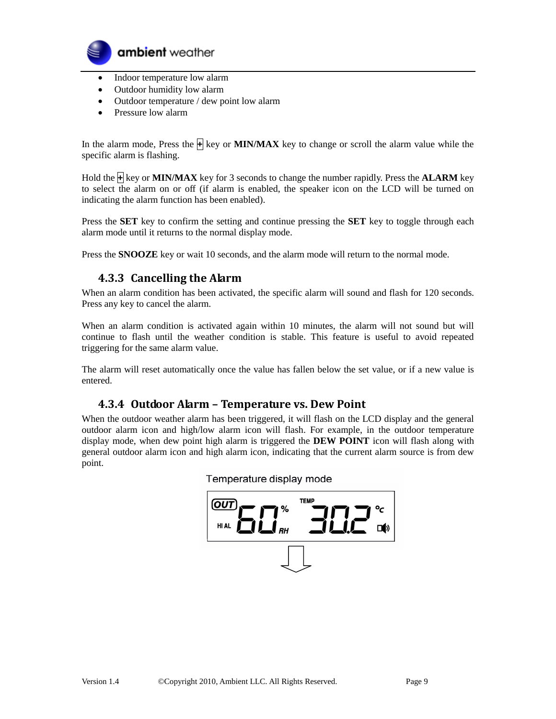

- Indoor temperature low alarm
- Outdoor humidity low alarm
- Outdoor temperature / dew point low alarm
- Pressure low alarm

In the alarm mode, Press the  $\bigoplus$  key or **MIN/MAX** key to change or scroll the alarm value while the specific alarm is flashing.

Hold the **+** key or **MIN/MAX** key for 3 seconds to change the number rapidly. Press the **ALARM** key to select the alarm on or off (if alarm is enabled, the speaker icon on the LCD will be turned on indicating the alarm function has been enabled).

Press the **SET** key to confirm the setting and continue pressing the **SET** key to toggle through each alarm mode until it returns to the normal display mode.

<span id="page-8-0"></span>Press the **SNOOZE** key or wait 10 seconds, and the alarm mode will return to the normal mode.

#### **4.3.3 Cancelling the Alarm**

When an alarm condition has been activated, the specific alarm will sound and flash for 120 seconds. Press any key to cancel the alarm.

When an alarm condition is activated again within 10 minutes, the alarm will not sound but will continue to flash until the weather condition is stable. This feature is useful to avoid repeated triggering for the same alarm value.

<span id="page-8-1"></span>The alarm will reset automatically once the value has fallen below the set value, or if a new value is entered.

#### **4.3.4 Outdoor Alarm – Temperature vs. Dew Point**

When the outdoor weather alarm has been triggered, it will flash on the LCD display and the general outdoor alarm icon and high/low alarm icon will flash. For example, in the outdoor temperature display mode, when dew point high alarm is triggered the **DEW POINT** icon will flash along with general outdoor alarm icon and high alarm icon, indicating that the current alarm source is from dew point.

#### Temperature display mode

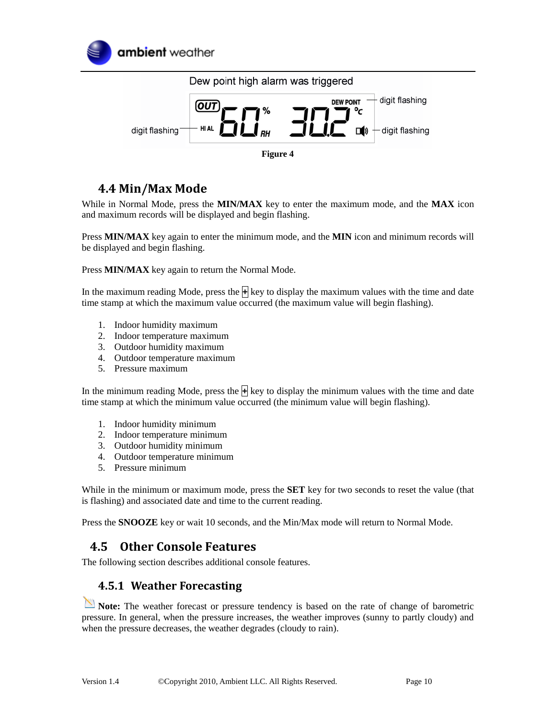



## <span id="page-9-0"></span>**4.4 Min/Max Mode**

While in Normal Mode, press the **MIN/MAX** key to enter the maximum mode, and the **MAX** icon and maximum records will be displayed and begin flashing.

Press **MIN/MAX** key again to enter the minimum mode, and the **MIN** icon and minimum records will be displayed and begin flashing.

Press **MIN/MAX** key again to return the Normal Mode.

In the maximum reading Mode, press the **+** key to display the maximum values with the time and date time stamp at which the maximum value occurred (the maximum value will begin flashing).

- 1. Indoor humidity maximum
- 2. Indoor temperature maximum
- 3. Outdoor humidity maximum
- 4. Outdoor temperature maximum
- 5. Pressure maximum

In the minimum reading Mode, press the  $\mathbf{H}$  key to display the minimum values with the time and date time stamp at which the minimum value occurred (the minimum value will begin flashing).

- 1. Indoor humidity minimum
- 2. Indoor temperature minimum
- 3. Outdoor humidity minimum
- 4. Outdoor temperature minimum
- 5. Pressure minimum

While in the minimum or maximum mode, press the **SET** key for two seconds to reset the value (that is flashing) and associated date and time to the current reading.

<span id="page-9-1"></span>Press the **SNOOZE** key or wait 10 seconds, and the Min/Max mode will return to Normal Mode.

## **4.5 Other Console Features**

<span id="page-9-2"></span>The following section describes additional console features.

#### **4.5.1 Weather Forecasting**

Note: The weather forecast or pressure tendency is based on the rate of change of barometric pressure. In general, when the pressure increases, the weather improves (sunny to partly cloudy) and when the pressure decreases, the weather degrades (cloudy to rain).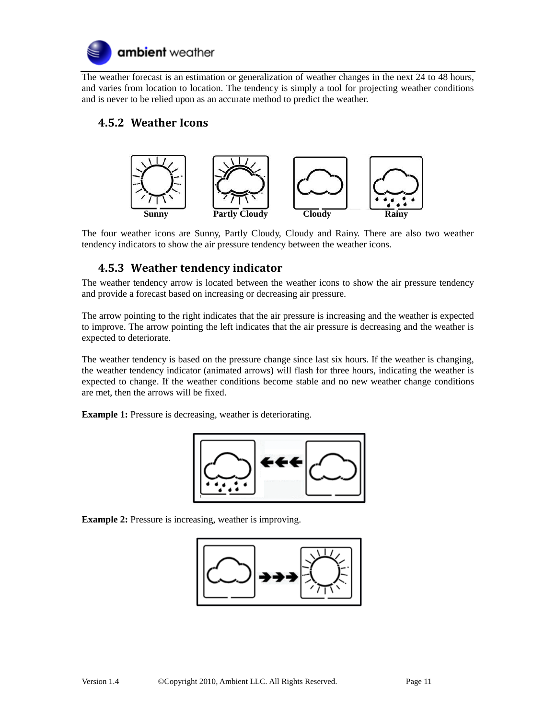

The weather forecast is an estimation or generalization of weather changes in the next 24 to 48 hours, and varies from location to location. The tendency is simply a tool for projecting weather conditions and is never to be relied upon as an accurate method to predict the weather.

#### <span id="page-10-0"></span>**4.5.2 Weather Icons**



<span id="page-10-1"></span>The four weather icons are Sunny, Partly Cloudy, Cloudy and Rainy. There are also two weather tendency indicators to show the air pressure tendency between the weather icons.

#### **4.5.3 Weather tendency indicator**

The weather tendency arrow is located between the weather icons to show the air pressure tendency and provide a forecast based on increasing or decreasing air pressure.

The arrow pointing to the right indicates that the air pressure is increasing and the weather is expected to improve. The arrow pointing the left indicates that the air pressure is decreasing and the weather is expected to deteriorate.

The weather tendency is based on the pressure change since last six hours. If the weather is changing, the weather tendency indicator (animated arrows) will flash for three hours, indicating the weather is expected to change. If the weather conditions become stable and no new weather change conditions are met, then the arrows will be fixed.

**Example 1:** Pressure is decreasing, weather is deteriorating.



**Example 2:** Pressure is increasing, weather is improving.

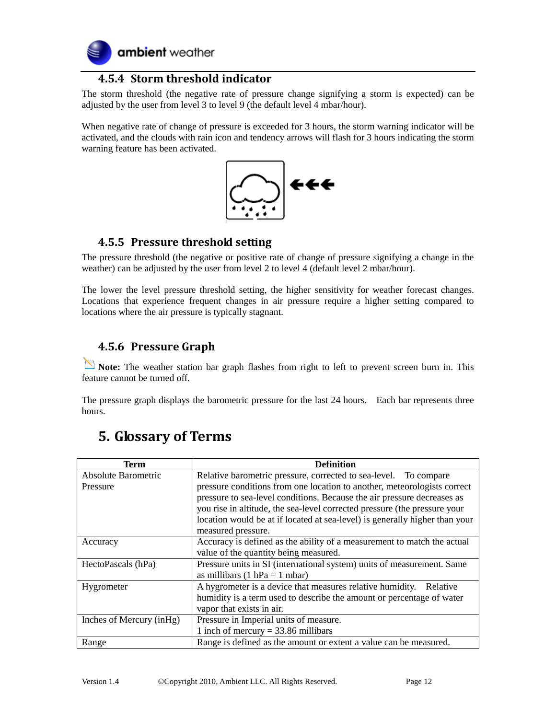

#### **4.5.4 Storm threshold indicator**

<span id="page-11-0"></span>The storm threshold (the negative rate of pressure change signifying a storm is expected) can be adjusted by the user from level 3 to level 9 (the default level 4 mbar/hour).

When negative rate of change of pressure is exceeded for 3 hours, the storm warning indicator will be activated, and the clouds with rain icon and tendency arrows will flash for 3 hours indicating the storm warning feature has been activated.



#### <span id="page-11-1"></span>**4.5.5 Pressure threshold setting**

The pressure threshold (the negative or positive rate of change of pressure signifying a change in the weather) can be adjusted by the user from level 2 to level 4 (default level 2 mbar/hour).

The lower the level pressure threshold setting, the higher sensitivity for weather forecast changes. Locations that experience frequent changes in air pressure require a higher setting compared to locations where the air pressure is typically stagnant.

#### <span id="page-11-2"></span>**4.5.6 Pressure Graph**

**Note:** The weather station bar graph flashes from right to left to prevent screen burn in. This feature cannot be turned off.

The pressure graph displays the barometric pressure for the last 24 hours. Each bar represents three hours.

| Term                      | <b>Definition</b>                                                           |  |  |
|---------------------------|-----------------------------------------------------------------------------|--|--|
| Absolute Barometric       | Relative barometric pressure, corrected to sea-level. To compare            |  |  |
| Pressure                  | pressure conditions from one location to another, meteorologists correct    |  |  |
|                           | pressure to sea-level conditions. Because the air pressure decreases as     |  |  |
|                           | you rise in altitude, the sea-level corrected pressure (the pressure your   |  |  |
|                           | location would be at if located at sea-level) is generally higher than your |  |  |
|                           | measured pressure.                                                          |  |  |
| Accuracy                  | Accuracy is defined as the ability of a measurement to match the actual     |  |  |
|                           | value of the quantity being measured.                                       |  |  |
| HectoPascals (hPa)        | Pressure units in SI (international system) units of measurement. Same      |  |  |
|                           | as millibars $(1 hPa = 1 mbar)$                                             |  |  |
| Hygrometer                | A hygrometer is a device that measures relative humidity. Relative          |  |  |
|                           | humidity is a term used to describe the amount or percentage of water       |  |  |
|                           | vapor that exists in air.                                                   |  |  |
| Inches of Mercury (in Hg) | Pressure in Imperial units of measure.                                      |  |  |
|                           | 1 inch of mercury $=$ 33.86 millibars                                       |  |  |
| Range                     | Range is defined as the amount or extent a value can be measured.           |  |  |

# <span id="page-11-3"></span>**5. Glossary of Terms**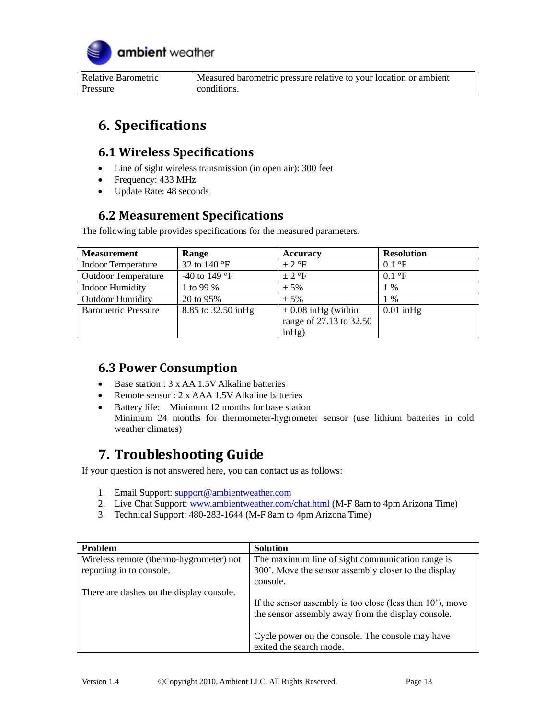

| Relative Barometric | Measured barometric pressure relative to your location or ambient |
|---------------------|-------------------------------------------------------------------|
| Pressure            | conditions.                                                       |

# <span id="page-12-0"></span>**6. Specifications**

#### <span id="page-12-1"></span>**6.1 Wireless Specifications**

- Line of sight wireless transmission (in open air): 300 feet
- Frequency: 433 MHz
- Update Rate: 48 seconds

## <span id="page-12-2"></span>**6.2 Measurement Specifications**

The following table provides specifications for the measured parameters.

| <b>Measurement</b>         | Range                           | <b>Accuracy</b>         | <b>Resolution</b>       |
|----------------------------|---------------------------------|-------------------------|-------------------------|
| <b>Indoor Temperature</b>  | 32 to 140 °F                    | $\pm$ 2 °F              | $0.1 \text{ }^{\circ}F$ |
| <b>Outdoor Temperature</b> | -40 to 149 $\mathrm{^{\circ}F}$ | $\pm$ 2 °F              | $0.1 \text{ }^{\circ}F$ |
| <b>Indoor Humidity</b>     | 1 to 99 %                       | $± 5\%$                 | $1\%$                   |
| <b>Outdoor Humidity</b>    | 20 to 95%                       | $± 5\%$                 | $1\%$                   |
| <b>Barometric Pressure</b> | 8.85 to 32.50 in Hg             | $\pm$ 0.08 inHg (within | $0.01$ in Hg            |
|                            |                                 | range of 27.13 to 32.50 |                         |
|                            |                                 | inHg)                   |                         |

## <span id="page-12-3"></span>**6.3 Power Consumption**

- Base station : 3 x AA 1.5V Alkaline batteries
- Remote sensor : 2 x AAA 1.5V Alkaline batteries
- Battery life: Minimum 12 months for base station Minimum 24 months for thermometer-hygrometer sensor (use lithium batteries in cold weather climates)

# <span id="page-12-4"></span>**7. Troubleshooting Guide**

If your question is not answered here, you can contact us as follows:

- 1. Email Support: [support@ambientweather.com](mailto:support@ambientweather.com)
- 2. Live Chat Support: [www.ambientweather.com/chat.html](http://www.ambientweather.com/chat.html) (M-F 8am to 4pm Arizona Time)
- 3. Technical Support: 480-283-1644 (M-F 8am to 4pm Arizona Time)

| <b>Problem</b>                           | <b>Solution</b>                                                     |
|------------------------------------------|---------------------------------------------------------------------|
| Wireless remote (thermo-hygrometer) not  | The maximum line of sight communication range is                    |
| reporting in to console.                 | 300'. Move the sensor assembly closer to the display                |
|                                          | console.                                                            |
| There are dashes on the display console. |                                                                     |
|                                          | If the sensor assembly is too close (less than $10^{\circ}$ ), move |
|                                          | the sensor assembly away from the display console.                  |
|                                          |                                                                     |
|                                          | Cycle power on the console. The console may have                    |
|                                          | exited the search mode.                                             |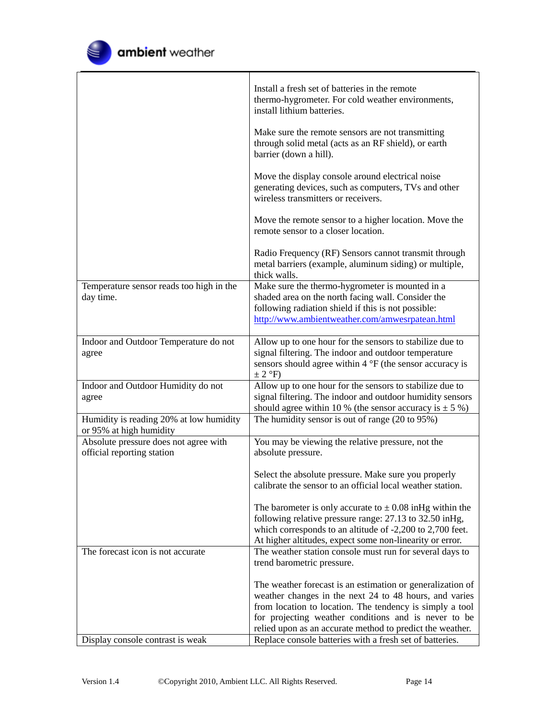

|                                                                    | Install a fresh set of batteries in the remote<br>thermo-hygrometer. For cold weather environments,<br>install lithium batteries.               |
|--------------------------------------------------------------------|-------------------------------------------------------------------------------------------------------------------------------------------------|
|                                                                    | Make sure the remote sensors are not transmitting<br>through solid metal (acts as an RF shield), or earth<br>barrier (down a hill).             |
|                                                                    | Move the display console around electrical noise<br>generating devices, such as computers, TVs and other<br>wireless transmitters or receivers. |
|                                                                    | Move the remote sensor to a higher location. Move the<br>remote sensor to a closer location.                                                    |
|                                                                    | Radio Frequency (RF) Sensors cannot transmit through<br>metal barriers (example, aluminum siding) or multiple,<br>thick walls.                  |
| Temperature sensor reads too high in the                           | Make sure the thermo-hygrometer is mounted in a                                                                                                 |
| day time.                                                          | shaded area on the north facing wall. Consider the                                                                                              |
|                                                                    | following radiation shield if this is not possible:                                                                                             |
|                                                                    | http://www.ambientweather.com/amwesrpatean.html                                                                                                 |
| Indoor and Outdoor Temperature do not                              | Allow up to one hour for the sensors to stabilize due to                                                                                        |
| agree                                                              | signal filtering. The indoor and outdoor temperature                                                                                            |
|                                                                    | sensors should agree within $4 \degree$ F (the sensor accuracy is                                                                               |
|                                                                    | $\pm$ 2 °F)                                                                                                                                     |
| Indoor and Outdoor Humidity do not                                 | Allow up to one hour for the sensors to stabilize due to                                                                                        |
| agree                                                              | signal filtering. The indoor and outdoor humidity sensors                                                                                       |
|                                                                    | should agree within 10 % (the sensor accuracy is $\pm$ 5 %)                                                                                     |
| Humidity is reading 20% at low humidity<br>or 95% at high humidity | The humidity sensor is out of range (20 to 95%)                                                                                                 |
| Absolute pressure does not agree with                              | You may be viewing the relative pressure, not the                                                                                               |
| official reporting station                                         | absolute pressure.                                                                                                                              |
|                                                                    |                                                                                                                                                 |
|                                                                    | Select the absolute pressure. Make sure you properly<br>calibrate the sensor to an official local weather station.                              |
|                                                                    |                                                                                                                                                 |
|                                                                    | The barometer is only accurate to $\pm$ 0.08 in Hg within the                                                                                   |
|                                                                    | following relative pressure range: 27.13 to 32.50 in Hg,                                                                                        |
|                                                                    | which corresponds to an altitude of -2,200 to 2,700 feet.                                                                                       |
|                                                                    | At higher altitudes, expect some non-linearity or error.                                                                                        |
| The forecast icon is not accurate                                  | The weather station console must run for several days to                                                                                        |
|                                                                    | trend barometric pressure.                                                                                                                      |
|                                                                    | The weather forecast is an estimation or generalization of                                                                                      |
|                                                                    | weather changes in the next 24 to 48 hours, and varies                                                                                          |
|                                                                    | from location to location. The tendency is simply a tool                                                                                        |
|                                                                    | for projecting weather conditions and is never to be                                                                                            |
|                                                                    | relied upon as an accurate method to predict the weather.                                                                                       |
| Display console contrast is weak                                   | Replace console batteries with a fresh set of batteries.                                                                                        |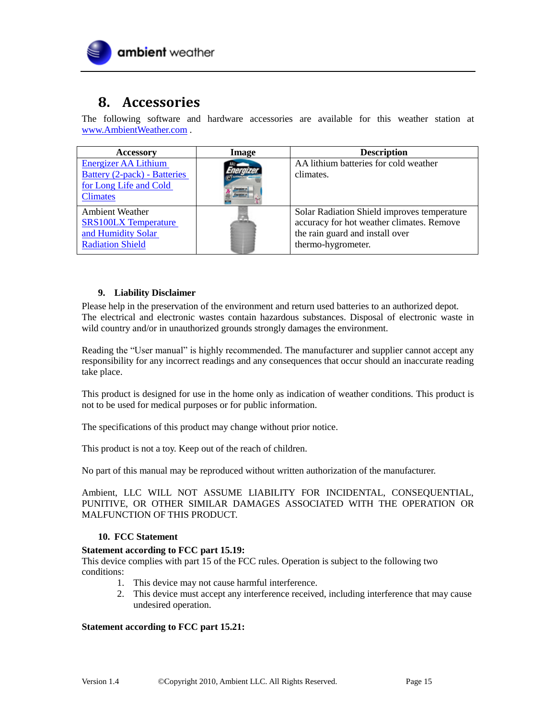

## <span id="page-14-0"></span>**8. Accessories**

The following software and hardware accessories are available for this weather station at [www.AmbientWeather.com](http://www.ambientweather.com/) .

| <b>Accessory</b>                                       | Image | <b>Description</b>                          |
|--------------------------------------------------------|-------|---------------------------------------------|
| <b>Energizer AA Lithium</b>                            |       | AA lithium batteries for cold weather       |
| Battery (2-pack) - Batteries<br>for Long Life and Cold |       | climates.                                   |
| <b>Climates</b>                                        |       |                                             |
| <b>Ambient Weather</b>                                 |       | Solar Radiation Shield improves temperature |
| <b>SRS100LX Temperature</b>                            |       | accuracy for hot weather climates. Remove   |
| and Humidity Solar                                     |       | the rain guard and install over             |
| <b>Radiation Shield</b>                                |       | thermo-hygrometer.                          |

#### <span id="page-14-1"></span>**9. Liability Disclaimer**

Please help in the preservation of the environment and return used batteries to an authorized depot. The electrical and electronic wastes contain hazardous substances. Disposal of electronic waste in wild country and/or in unauthorized grounds strongly damages the environment.

Reading the "User manual" is highly recommended. The manufacturer and supplier cannot accept any responsibility for any incorrect readings and any consequences that occur should an inaccurate reading take place.

This product is designed for use in the home only as indication of weather conditions. This product is not to be used for medical purposes or for public information.

The specifications of this product may change without prior notice.

This product is not a toy. Keep out of the reach of children.

No part of this manual may be reproduced without written authorization of the manufacturer.

Ambient, LLC WILL NOT ASSUME LIABILITY FOR INCIDENTAL, CONSEQUENTIAL, PUNITIVE, OR OTHER SIMILAR DAMAGES ASSOCIATED WITH THE OPERATION OR MALFUNCTION OF THIS PRODUCT.

#### <span id="page-14-2"></span>**10. FCC Statement**

#### **Statement according to FCC part 15.19:**

This device complies with part 15 of the FCC rules. Operation is subject to the following two conditions:

- 1. This device may not cause harmful interference.
- 2. This device must accept any interference received, including interference that may cause undesired operation.

#### **Statement according to FCC part 15.21:**